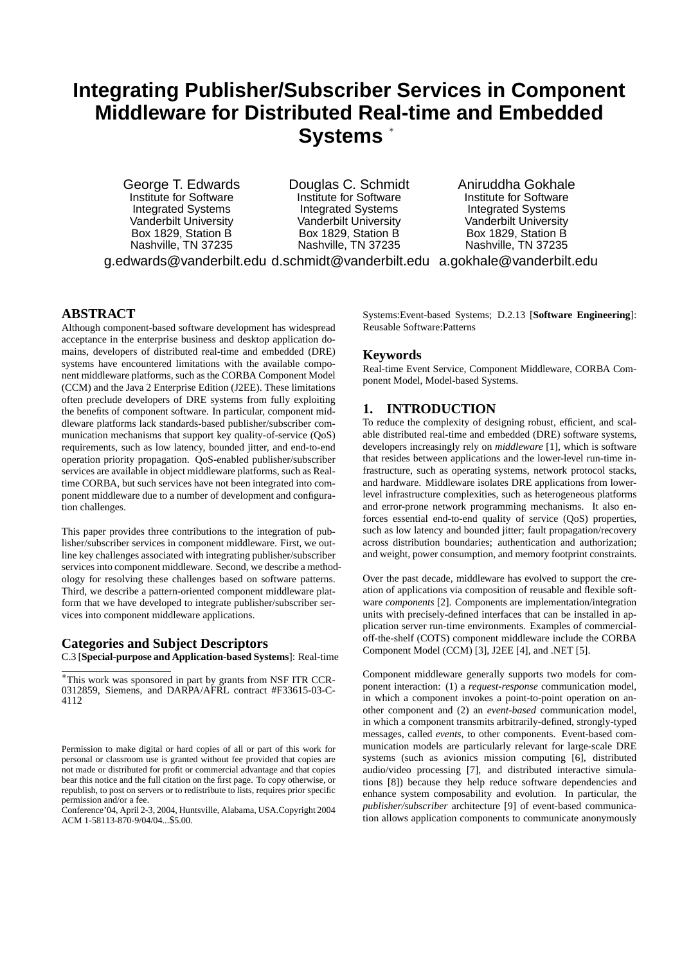# **Integrating Publisher/Subscriber Services in Component Middleware for Distributed Real-time and Embedded Systems** <sup>∗</sup>

George T. Edwards Institute for Software Integrated Systems Vanderbilt University Box 1829, Station B Nashville, TN 37235

Douglas C. Schmidt Institute for Software Integrated Systems Vanderbilt University Box 1829, Station B Nashville, TN 37235

Aniruddha Gokhale Institute for Software Integrated Systems Vanderbilt University Box 1829, Station B Nashville, TN 37235

g.edwards@vanderbilt.edu d.schmidt@vanderbilt.edu a.gokhale@vanderbilt.edu

### **ABSTRACT**

Although component-based software development has widespread acceptance in the enterprise business and desktop application domains, developers of distributed real-time and embedded (DRE) systems have encountered limitations with the available component middleware platforms, such as the CORBA Component Model (CCM) and the Java 2 Enterprise Edition (J2EE). These limitations often preclude developers of DRE systems from fully exploiting the benefits of component software. In particular, component middleware platforms lack standards-based publisher/subscriber communication mechanisms that support key quality-of-service (QoS) requirements, such as low latency, bounded jitter, and end-to-end operation priority propagation. QoS-enabled publisher/subscriber services are available in object middleware platforms, such as Realtime CORBA, but such services have not been integrated into component middleware due to a number of development and configuration challenges.

This paper provides three contributions to the integration of publisher/subscriber services in component middleware. First, we outline key challenges associated with integrating publisher/subscriber services into component middleware. Second, we describe a methodology for resolving these challenges based on software patterns. Third, we describe a pattern-oriented component middleware platform that we have developed to integrate publisher/subscriber services into component middleware applications.

#### **Categories and Subject Descriptors** C.3 [**Special-purpose and Application-based Systems**]: Real-time

<sup>∗</sup>This work was sponsored in part by grants from NSF ITR CCR-0312859, Siemens, and DARPA/AFRL contract #F33615-03-C-4112

Permission to make digital or hard copies of all or part of this work for personal or classroom use is granted without fee provided that copies are not made or distributed for profit or commercial advantage and that copies bear this notice and the full citation on the first page. To copy otherwise, or republish, to post on servers or to redistribute to lists, requires prior specific permission and/or a fee.

Conference'04, April 2-3, 2004, Huntsville, Alabama, USA.Copyright 2004 ACM 1-58113-870-9/04/04...\$5.00.

Systems:Event-based Systems; D.2.13 [**Software Engineering**]: Reusable Software:Patterns

#### **Keywords**

Real-time Event Service, Component Middleware, CORBA Component Model, Model-based Systems.

# **1. INTRODUCTION**

To reduce the complexity of designing robust, efficient, and scalable distributed real-time and embedded (DRE) software systems, developers increasingly rely on *middleware* [1], which is software that resides between applications and the lower-level run-time infrastructure, such as operating systems, network protocol stacks, and hardware. Middleware isolates DRE applications from lowerlevel infrastructure complexities, such as heterogeneous platforms and error-prone network programming mechanisms. It also enforces essential end-to-end quality of service (QoS) properties, such as low latency and bounded jitter; fault propagation/recovery across distribution boundaries; authentication and authorization; and weight, power consumption, and memory footprint constraints.

Over the past decade, middleware has evolved to support the creation of applications via composition of reusable and flexible software *components* [2]. Components are implementation/integration units with precisely-defined interfaces that can be installed in application server run-time environments. Examples of commercialoff-the-shelf (COTS) component middleware include the CORBA Component Model (CCM) [3], J2EE [4], and .NET [5].

Component middleware generally supports two models for component interaction: (1) a *request-response* communication model, in which a component invokes a point-to-point operation on another component and (2) an *event-based* communication model, in which a component transmits arbitrarily-defined, strongly-typed messages, called *events*, to other components. Event-based communication models are particularly relevant for large-scale DRE systems (such as avionics mission computing [6], distributed audio/video processing [7], and distributed interactive simulations [8]) because they help reduce software dependencies and enhance system composability and evolution. In particular, the *publisher/subscriber* architecture [9] of event-based communication allows application components to communicate anonymously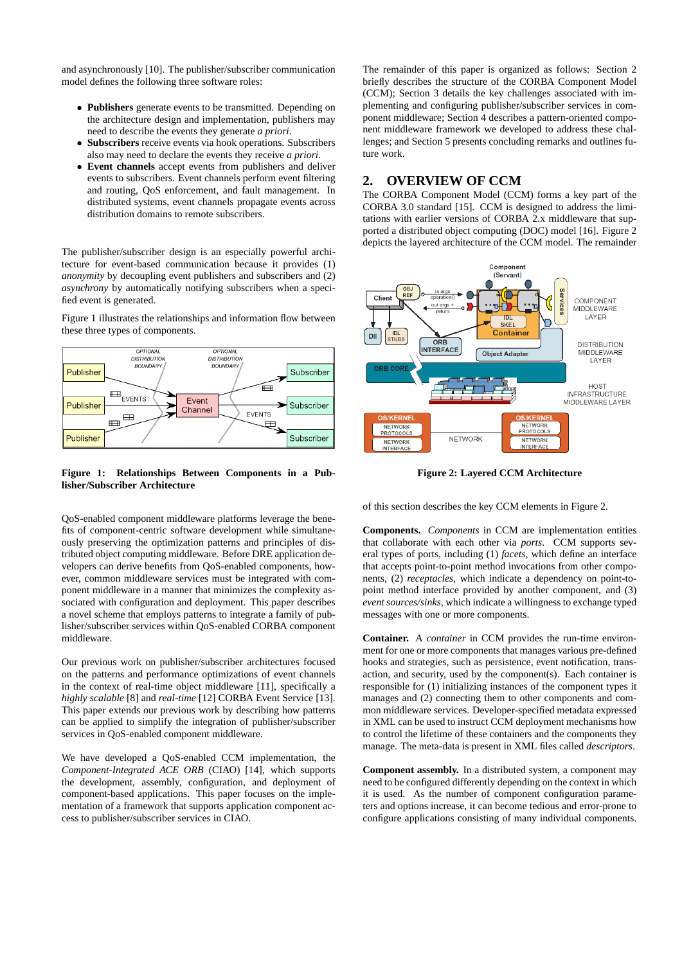and asynchronously [10]. The publisher/subscriber communication model defines the following three software roles:

- **Publishers** generate events to be transmitted. Depending on the architecture design and implementation, publishers may need to describe the events they generate *a priori*.
- **Subscribers** receive events via hook operations. Subscribers also may need to declare the events they receive *a priori*.
- **Event channels** accept events from publishers and deliver events to subscribers. Event channels perform event filtering and routing, QoS enforcement, and fault management. In distributed systems, event channels propagate events across distribution domains to remote subscribers.

The publisher/subscriber design is an especially powerful architecture for event-based communication because it provides (1) *anonymity* by decoupling event publishers and subscribers and (2) *asynchrony* by automatically notifying subscribers when a specified event is generated.

Figure 1 illustrates the relationships and information flow between these three types of components.



#### **Figure 1: Relationships Between Components in a Publisher/Subscriber Architecture**

QoS-enabled component middleware platforms leverage the benefits of component-centric software development while simultaneously preserving the optimization patterns and principles of distributed object computing middleware. Before DRE application developers can derive benefits from QoS-enabled components, however, common middleware services must be integrated with component middleware in a manner that minimizes the complexity associated with configuration and deployment. This paper describes a novel scheme that employs patterns to integrate a family of publisher/subscriber services within QoS-enabled CORBA component middleware.

Our previous work on publisher/subscriber architectures focused on the patterns and performance optimizations of event channels in the context of real-time object middleware [11], specifically a *highly scalable* [8] and *real-time* [12] CORBA Event Service [13]. This paper extends our previous work by describing how patterns can be applied to simplify the integration of publisher/subscriber services in QoS-enabled component middleware.

We have developed a QoS-enabled CCM implementation, the *Component-Integrated ACE ORB* (CIAO) [14], which supports the development, assembly, configuration, and deployment of component-based applications. This paper focuses on the implementation of a framework that supports application component access to publisher/subscriber services in CIAO.

The remainder of this paper is organized as follows: Section 2 briefly describes the structure of the CORBA Component Model (CCM); Section 3 details the key challenges associated with implementing and configuring publisher/subscriber services in component middleware; Section 4 describes a pattern-oriented component middleware framework we developed to address these challenges; and Section 5 presents concluding remarks and outlines future work.

# **2. OVERVIEW OF CCM**

The CORBA Component Model (CCM) forms a key part of the CORBA 3.0 standard [15]. CCM is designed to address the limitations with earlier versions of CORBA 2.x middleware that supported a distributed object computing (DOC) model [16]. Figure 2 depicts the layered architecture of the CCM model. The remainder



**Figure 2: Layered CCM Architecture**

of this section describes the key CCM elements in Figure 2.

**Components.** *Components* in CCM are implementation entities that collaborate with each other via *ports*. CCM supports several types of ports, including (1) *facets*, which define an interface that accepts point-to-point method invocations from other components, (2) *receptacles*, which indicate a dependency on point-topoint method interface provided by another component, and (3) *event sources/sinks*, which indicate a willingness to exchange typed messages with one or more components.

**Container.** A *container* in CCM provides the run-time environment for one or more components that manages various pre-defined hooks and strategies, such as persistence, event notification, transaction, and security, used by the component(s). Each container is responsible for (1) initializing instances of the component types it manages and (2) connecting them to other components and common middleware services. Developer-specified metadata expressed in XML can be used to instruct CCM deployment mechanisms how to control the lifetime of these containers and the components they manage. The meta-data is present in XML files called *descriptors*.

**Component assembly.** In a distributed system, a component may need to be configured differently depending on the context in which it is used. As the number of component configuration parameters and options increase, it can become tedious and error-prone to configure applications consisting of many individual components.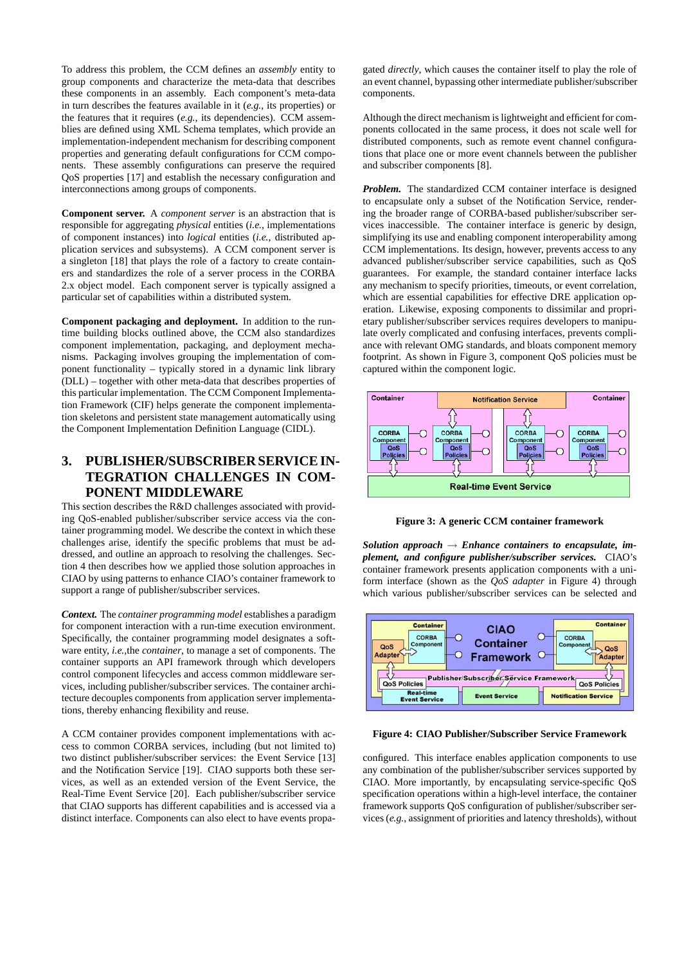To address this problem, the CCM defines an *assembly* entity to group components and characterize the meta-data that describes these components in an assembly. Each component's meta-data in turn describes the features available in it (*e.g.*, its properties) or the features that it requires (*e.g.*, its dependencies). CCM assemblies are defined using XML Schema templates, which provide an implementation-independent mechanism for describing component properties and generating default configurations for CCM components. These assembly configurations can preserve the required QoS properties [17] and establish the necessary configuration and interconnections among groups of components.

**Component server.** A *component server* is an abstraction that is responsible for aggregating *physical* entities (*i.e.*, implementations of component instances) into *logical* entities (*i.e.*, distributed application services and subsystems). A CCM component server is a singleton [18] that plays the role of a factory to create containers and standardizes the role of a server process in the CORBA 2.x object model. Each component server is typically assigned a particular set of capabilities within a distributed system.

**Component packaging and deployment.** In addition to the runtime building blocks outlined above, the CCM also standardizes component implementation, packaging, and deployment mechanisms. Packaging involves grouping the implementation of component functionality – typically stored in a dynamic link library (DLL) – together with other meta-data that describes properties of this particular implementation. The CCM Component Implementation Framework (CIF) helps generate the component implementation skeletons and persistent state management automatically using the Component Implementation Definition Language (CIDL).

# **3. PUBLISHER/SUBSCRIBER SERVICE IN-TEGRATION CHALLENGES IN COM-PONENT MIDDLEWARE**

This section describes the R&D challenges associated with providing QoS-enabled publisher/subscriber service access via the container programming model. We describe the context in which these challenges arise, identify the specific problems that must be addressed, and outline an approach to resolving the challenges. Section 4 then describes how we applied those solution approaches in CIAO by using patterns to enhance CIAO's container framework to support a range of publisher/subscriber services.

*Context.* The *container programming model* establishes a paradigm for component interaction with a run-time execution environment. Specifically, the container programming model designates a software entity, *i.e.*,the *container*, to manage a set of components. The container supports an API framework through which developers control component lifecycles and access common middleware services, including publisher/subscriber services. The container architecture decouples components from application server implementations, thereby enhancing flexibility and reuse.

A CCM container provides component implementations with access to common CORBA services, including (but not limited to) two distinct publisher/subscriber services: the Event Service [13] and the Notification Service [19]. CIAO supports both these services, as well as an extended version of the Event Service, the Real-Time Event Service [20]. Each publisher/subscriber service that CIAO supports has different capabilities and is accessed via a distinct interface. Components can also elect to have events propa-

gated *directly*, which causes the container itself to play the role of an event channel, bypassing other intermediate publisher/subscriber components.

Although the direct mechanism is lightweight and efficient for components collocated in the same process, it does not scale well for distributed components, such as remote event channel configurations that place one or more event channels between the publisher and subscriber components [8].

*Problem.* The standardized CCM container interface is designed to encapsulate only a subset of the Notification Service, rendering the broader range of CORBA-based publisher/subscriber services inaccessible. The container interface is generic by design, simplifying its use and enabling component interoperability among CCM implementations. Its design, however, prevents access to any advanced publisher/subscriber service capabilities, such as QoS guarantees. For example, the standard container interface lacks any mechanism to specify priorities, timeouts, or event correlation, which are essential capabilities for effective DRE application operation. Likewise, exposing components to dissimilar and proprietary publisher/subscriber services requires developers to manipulate overly complicated and confusing interfaces, prevents compliance with relevant OMG standards, and bloats component memory footprint. As shown in Figure 3, component QoS policies must be captured within the component logic.



**Figure 3: A generic CCM container framework**

*Solution approach* → *Enhance containers to encapsulate, implement, and configure publisher/subscriber services.* CIAO's container framework presents application components with a uniform interface (shown as the *QoS adapter* in Figure 4) through which various publisher/subscriber services can be selected and



#### **Figure 4: CIAO Publisher/Subscriber Service Framework**

configured. This interface enables application components to use any combination of the publisher/subscriber services supported by CIAO. More importantly, by encapsulating service-specific QoS specification operations within a high-level interface, the container framework supports QoS configuration of publisher/subscriber services (*e.g.*, assignment of priorities and latency thresholds), without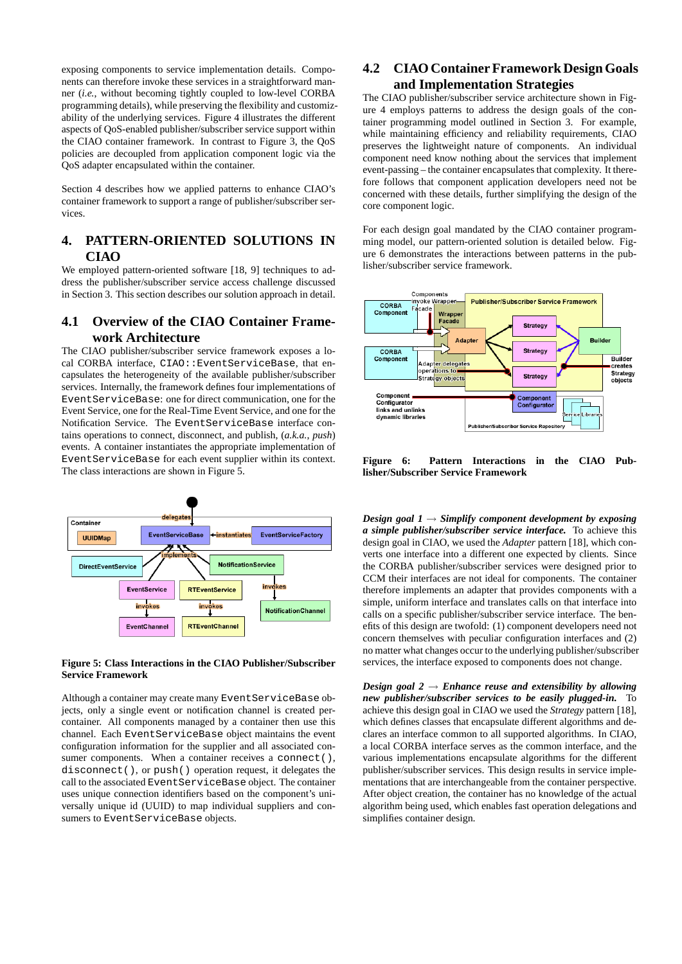exposing components to service implementation details. Components can therefore invoke these services in a straightforward manner (*i.e.*, without becoming tightly coupled to low-level CORBA programming details), while preserving the flexibility and customizability of the underlying services. Figure 4 illustrates the different aspects of QoS-enabled publisher/subscriber service support within the CIAO container framework. In contrast to Figure 3, the QoS policies are decoupled from application component logic via the QoS adapter encapsulated within the container.

Section 4 describes how we applied patterns to enhance CIAO's container framework to support a range of publisher/subscriber services.

# **4. PATTERN-ORIENTED SOLUTIONS IN CIAO**

We employed pattern-oriented software [18, 9] techniques to address the publisher/subscriber service access challenge discussed in Section 3. This section describes our solution approach in detail.

# **4.1 Overview of the CIAO Container Framework Architecture**

The CIAO publisher/subscriber service framework exposes a local CORBA interface, CIAO::EventServiceBase, that encapsulates the heterogeneity of the available publisher/subscriber services. Internally, the framework defines four implementations of EventServiceBase: one for direct communication, one for the Event Service, one for the Real-Time Event Service, and one for the Notification Service. The EventServiceBase interface contains operations to connect, disconnect, and publish, (*a.k.a.*, *push*) events. A container instantiates the appropriate implementation of EventServiceBase for each event supplier within its context. The class interactions are shown in Figure 5.



#### **Figure 5: Class Interactions in the CIAO Publisher/Subscriber Service Framework**

Although a container may create many EventServiceBase objects, only a single event or notification channel is created percontainer. All components managed by a container then use this channel. Each EventServiceBase object maintains the event configuration information for the supplier and all associated consumer components. When a container receives a connect (), disconnect(), or push() operation request, it delegates the call to the associated EventServiceBase object. The container uses unique connection identifiers based on the component's universally unique id (UUID) to map individual suppliers and consumers to EventServiceBase objects.

# **4.2 CIAO Container Framework Design Goals and Implementation Strategies**

The CIAO publisher/subscriber service architecture shown in Figure 4 employs patterns to address the design goals of the container programming model outlined in Section 3. For example, while maintaining efficiency and reliability requirements, CIAO preserves the lightweight nature of components. An individual component need know nothing about the services that implement event-passing – the container encapsulates that complexity. It therefore follows that component application developers need not be concerned with these details, further simplifying the design of the core component logic.

For each design goal mandated by the CIAO container programming model, our pattern-oriented solution is detailed below. Figure 6 demonstrates the interactions between patterns in the publisher/subscriber service framework.



**Figure 6: Pattern Interactions in the CIAO Publisher/Subscriber Service Framework**

*Design goal 1* → *Simplify component development by exposing a simple publisher/subscriber service interface.* To achieve this design goal in CIAO, we used the *Adapter* pattern [18], which converts one interface into a different one expected by clients. Since the CORBA publisher/subscriber services were designed prior to CCM their interfaces are not ideal for components. The container therefore implements an adapter that provides components with a simple, uniform interface and translates calls on that interface into calls on a specific publisher/subscriber service interface. The benefits of this design are twofold: (1) component developers need not concern themselves with peculiar configuration interfaces and (2) no matter what changes occur to the underlying publisher/subscriber services, the interface exposed to components does not change.

*Design goal 2* → *Enhance reuse and extensibility by allowing new publisher/subscriber services to be easily plugged-in.* To achieve this design goal in CIAO we used the *Strategy* pattern [18], which defines classes that encapsulate different algorithms and declares an interface common to all supported algorithms. In CIAO, a local CORBA interface serves as the common interface, and the various implementations encapsulate algorithms for the different publisher/subscriber services. This design results in service implementations that are interchangeable from the container perspective. After object creation, the container has no knowledge of the actual algorithm being used, which enables fast operation delegations and simplifies container design.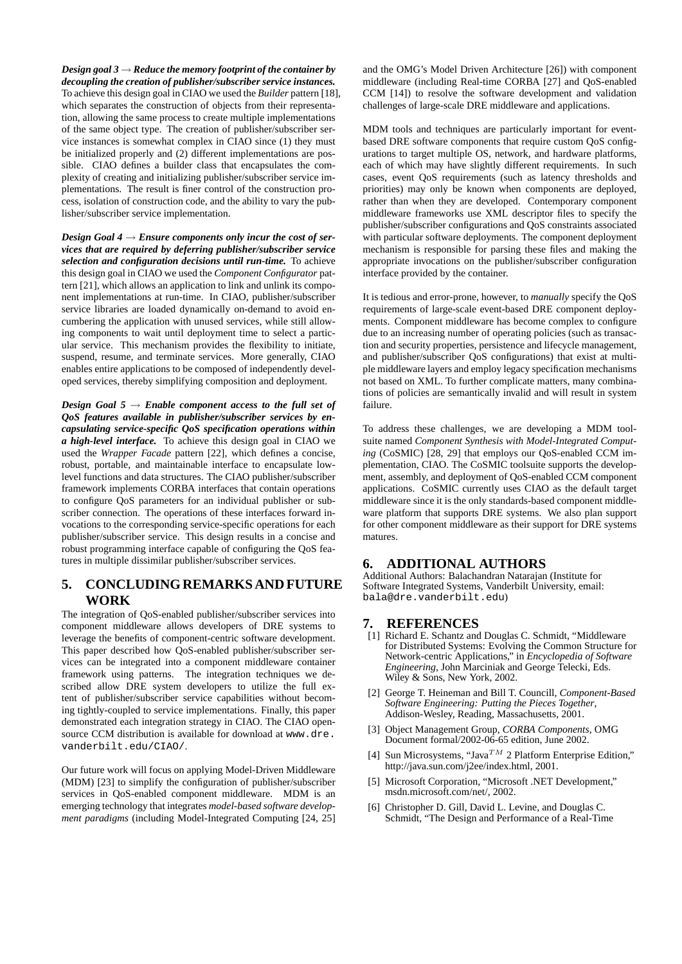*Design goal 3* → *Reduce the memory footprint of the container by decoupling the creation of publisher/subscriber service instances.*

To achieve this design goal in CIAO we used the *Builder* pattern [18], which separates the construction of objects from their representation, allowing the same process to create multiple implementations of the same object type. The creation of publisher/subscriber service instances is somewhat complex in CIAO since (1) they must be initialized properly and (2) different implementations are possible. CIAO defines a builder class that encapsulates the complexity of creating and initializing publisher/subscriber service implementations. The result is finer control of the construction process, isolation of construction code, and the ability to vary the publisher/subscriber service implementation.

*Design Goal 4* → *Ensure components only incur the cost of services that are required by deferring publisher/subscriber service selection and configuration decisions until run-time.* To achieve this design goal in CIAO we used the *Component Configurator* pattern [21], which allows an application to link and unlink its component implementations at run-time. In CIAO, publisher/subscriber service libraries are loaded dynamically on-demand to avoid encumbering the application with unused services, while still allowing components to wait until deployment time to select a particular service. This mechanism provides the flexibility to initiate, suspend, resume, and terminate services. More generally, CIAO enables entire applications to be composed of independently developed services, thereby simplifying composition and deployment.

*Design Goal 5*  $\rightarrow$  *Enable component access to the full set of QoS features available in publisher/subscriber services by encapsulating service-specific QoS specification operations within a high-level interface.* To achieve this design goal in CIAO we used the *Wrapper Facade* pattern [22], which defines a concise, robust, portable, and maintainable interface to encapsulate lowlevel functions and data structures. The CIAO publisher/subscriber framework implements CORBA interfaces that contain operations to configure QoS parameters for an individual publisher or subscriber connection. The operations of these interfaces forward invocations to the corresponding service-specific operations for each publisher/subscriber service. This design results in a concise and robust programming interface capable of configuring the QoS features in multiple dissimilar publisher/subscriber services.

# **5. CONCLUDING REMARKS AND FUTURE WORK**

The integration of QoS-enabled publisher/subscriber services into component middleware allows developers of DRE systems to leverage the benefits of component-centric software development. This paper described how QoS-enabled publisher/subscriber services can be integrated into a component middleware container framework using patterns. The integration techniques we described allow DRE system developers to utilize the full extent of publisher/subscriber service capabilities without becoming tightly-coupled to service implementations. Finally, this paper demonstrated each integration strategy in CIAO. The CIAO opensource CCM distribution is available for download at www.dre. vanderbilt.edu/CIAO/.

Our future work will focus on applying Model-Driven Middleware (MDM) [23] to simplify the configuration of publisher/subscriber services in QoS-enabled component middleware. MDM is an emerging technology that integrates *model-based software development paradigms* (including Model-Integrated Computing [24, 25]

and the OMG's Model Driven Architecture [26]) with component middleware (including Real-time CORBA [27] and QoS-enabled CCM [14]) to resolve the software development and validation challenges of large-scale DRE middleware and applications.

MDM tools and techniques are particularly important for eventbased DRE software components that require custom QoS configurations to target multiple OS, network, and hardware platforms, each of which may have slightly different requirements. In such cases, event QoS requirements (such as latency thresholds and priorities) may only be known when components are deployed, rather than when they are developed. Contemporary component middleware frameworks use XML descriptor files to specify the publisher/subscriber configurations and QoS constraints associated with particular software deployments. The component deployment mechanism is responsible for parsing these files and making the appropriate invocations on the publisher/subscriber configuration interface provided by the container.

It is tedious and error-prone, however, to *manually* specify the QoS requirements of large-scale event-based DRE component deployments. Component middleware has become complex to configure due to an increasing number of operating policies (such as transaction and security properties, persistence and lifecycle management, and publisher/subscriber QoS configurations) that exist at multiple middleware layers and employ legacy specification mechanisms not based on XML. To further complicate matters, many combinations of policies are semantically invalid and will result in system failure.

To address these challenges, we are developing a MDM toolsuite named *Component Synthesis with Model-Integrated Computing* (CoSMIC) [28, 29] that employs our QoS-enabled CCM implementation, CIAO. The CoSMIC toolsuite supports the development, assembly, and deployment of QoS-enabled CCM component applications. CoSMIC currently uses CIAO as the default target middleware since it is the only standards-based component middleware platform that supports DRE systems. We also plan support for other component middleware as their support for DRE systems matures.

### **6. ADDITIONAL AUTHORS**

Additional Authors: Balachandran Natarajan (Institute for Software Integrated Systems, Vanderbilt University, email: bala@dre.vanderbilt.edu)

#### **7. REFERENCES**

- [1] Richard E. Schantz and Douglas C. Schmidt, "Middleware for Distributed Systems: Evolving the Common Structure for Network-centric Applications," in *Encyclopedia of Software Engineering*, John Marciniak and George Telecki, Eds. Wiley & Sons, New York, 2002.
- [2] George T. Heineman and Bill T. Councill, *Component-Based Software Engineering: Putting the Pieces Together*, Addison-Wesley, Reading, Massachusetts, 2001.
- [3] Object Management Group, *CORBA Components*, OMG Document formal/2002-06-65 edition, June 2002.
- [4] Sun Microsystems, "Java<sup>TM</sup> 2 Platform Enterprise Edition," http://java.sun.com/j2ee/index.html, 2001.
- [5] Microsoft Corporation, "Microsoft .NET Development," msdn.microsoft.com/net/, 2002.
- [6] Christopher D. Gill, David L. Levine, and Douglas C. Schmidt, "The Design and Performance of a Real-Time